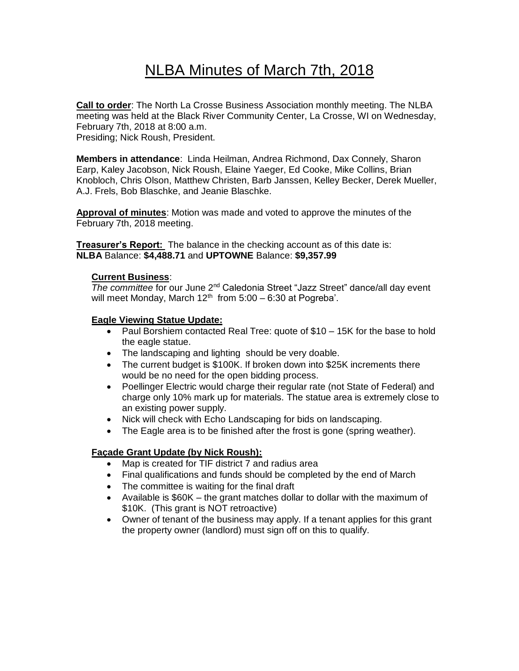# NLBA Minutes of March 7th, 2018

**Call to order**: The North La Crosse Business Association monthly meeting. The NLBA meeting was held at the Black River Community Center, La Crosse, WI on Wednesday, February 7th, 2018 at 8:00 a.m. Presiding; Nick Roush, President.

**Members in attendance**: Linda Heilman, Andrea Richmond, Dax Connely, Sharon Earp, Kaley Jacobson, Nick Roush, Elaine Yaeger, Ed Cooke, Mike Collins, Brian Knobloch, Chris Olson, Matthew Christen, Barb Janssen, Kelley Becker, Derek Mueller, A.J. Frels, Bob Blaschke, and Jeanie Blaschke.

**Approval of minutes**: Motion was made and voted to approve the minutes of the February 7th, 2018 meeting.

**Treasurer's Report:** The balance in the checking account as of this date is: **NLBA** Balance: **\$4,488.71** and **UPTOWNE** Balance: **\$9,357.99**

## **Current Business**:

**The committee for our June 2<sup>nd</sup> Caledonia Street "Jazz Street" dance/all day event** will meet Monday, March  $12<sup>th</sup>$  from 5:00 - 6:30 at Pogreba'.

## **Eagle Viewing Statue Update:**

- Paul Borshiem contacted Real Tree: quote of \$10 15K for the base to hold the eagle statue.
- The landscaping and lighting should be very doable.
- The current budget is \$100K. If broken down into \$25K increments there would be no need for the open bidding process.
- Poellinger Electric would charge their regular rate (not State of Federal) and charge only 10% mark up for materials. The statue area is extremely close to an existing power supply.
- Nick will check with Echo Landscaping for bids on landscaping.
- The Eagle area is to be finished after the frost is gone (spring weather).

## **Façade Grant Update (by Nick Roush):**

- Map is created for TIF district 7 and radius area
- Final qualifications and funds should be completed by the end of March
- The committee is waiting for the final draft
- Available is \$60K the grant matches dollar to dollar with the maximum of \$10K. (This grant is NOT retroactive)
- Owner of tenant of the business may apply. If a tenant applies for this grant the property owner (landlord) must sign off on this to qualify.